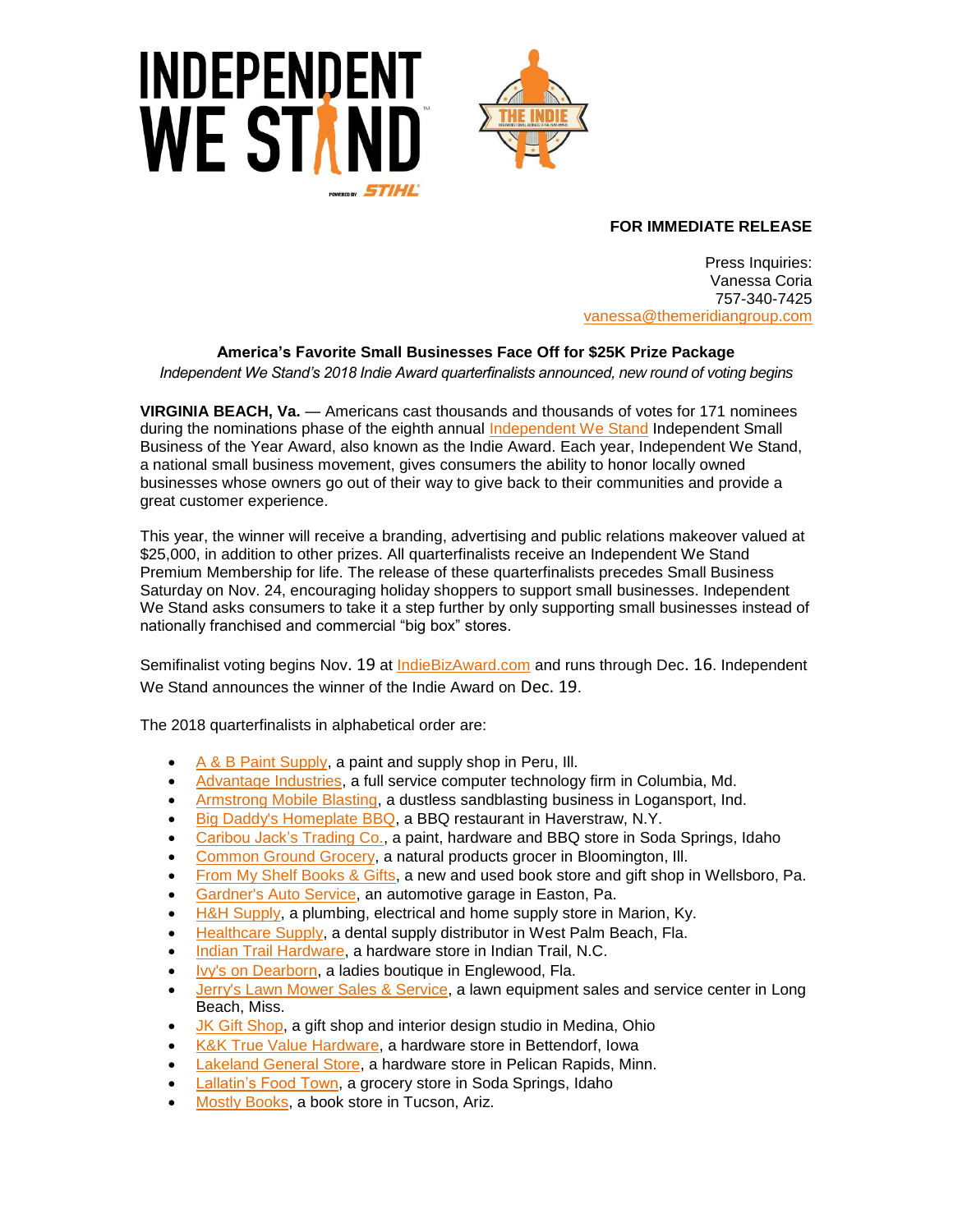



## **FOR IMMEDIATE RELEASE**

Press Inquiries: Vanessa Coria 757-340-7425 vanessa[@themeridiangroup.](mailto:vanessa@themeridiangroup.com)com

## **America's Favorite Small Businesses Face Off for \$25K Prize Package**

*Independent We Stand's 2018 Indie Award quarterfinalists announced, new round of voting begins*

**VIRGINIA BEACH, Va.** — Americans cast thousands and thousands of votes for 171 nominees during the nominations phase of the eighth annual [Independent We Stand](http://www.independentwestand.org/) Independent Small Business of the Year Award, also known as the Indie Award. Each year, Independent We Stand, a national small business movement, gives consumers the ability to honor locally owned businesses whose owners go out of their way to give back to their communities and provide a great customer experience.

This year, the winner will receive a branding, advertising and public relations makeover valued at \$25,000, in addition to other prizes. All quarterfinalists receive an Independent We Stand Premium Membership for life. The release of these quarterfinalists precedes Small Business Saturday on Nov. 24, encouraging holiday shoppers to support small businesses. Independent We Stand asks consumers to take it a step further by only supporting small businesses instead of nationally franchised and commercial "big box" stores.

Semifinalist voting begins Nov. 19 at [IndieBizAward.com](http://www.independentwestand.org/indies/) and runs through Dec. 16. Independent We Stand announces the winner of the Indie Award on Dec. 19.

The 2018 quarterfinalists in alphabetical order are:

- [A & B Paint Supply,](https://www.independentwestand.org/indies/profile/57) a paint and supply shop in Peru, Ill.
- [Advantage Industries,](https://www.independentwestand.org/indies/profile/147) a full service computer technology firm in Columbia, Md.
- [Armstrong Mobile Blasting,](https://www.independentwestand.org/indies/profile/96) a dustless sandblasting business in Logansport, Ind.
- [Big Daddy's Homeplate BBQ,](https://www.independentwestand.org/indies/profile/122) a BBQ restaurant in Haverstraw, N.Y.
- [Caribou Jack's Trading Co.,](https://www.independentwestand.org/indies/profile/21) a paint, hardware and BBQ store in Soda Springs, Idaho
- [Common Ground Grocery,](https://www.independentwestand.org/indies/profile/166) a natural products grocer in Bloomington, Ill.
- [From My Shelf Books & Gifts,](https://www.independentwestand.org/indies/profile/10) a new and used book store and gift shop in Wellsboro, Pa.
- [Gardner's Auto Service,](https://www.independentwestand.org/indies/profile.php?id=95) an automotive garage in Easton, Pa.
- [H&H Supply,](https://www.independentwestand.org/indies/profile/55) a plumbing, electrical and home supply store in Marion, Ky.
- [Healthcare Supply,](https://www.independentwestand.org/indies/profile/40) a dental supply distributor in West Palm Beach, Fla.
- [Indian Trail Hardware,](https://www.independentwestand.org/indies/profile/129) a hardware store in Indian Trail, N.C.
- [Ivy's on Dearborn,](https://www.independentwestand.org/indies/profile/8) a ladies boutique in Englewood, Fla.
- [Jerry's Lawn Mower Sales & Service,](https://www.independentwestand.org/indies/profile/125) a lawn equipment sales and service center in Long Beach, Miss.
- [JK Gift Shop,](https://www.independentwestand.org/indies/profile/3) a gift shop and interior design studio in Medina, Ohio
- [K&K True Value Hardware,](https://www.independentwestand.org/indies/profile/141) a hardware store in Bettendorf, Iowa
- [Lakeland General Store,](https://www.independentwestand.org/indies/profile/71) a hardware store in Pelican Rapids, Minn.
- [Lallatin's Food Town,](https://www.independentwestand.org/indies/profile/56) a grocery store in Soda Springs, Idaho
- **[Mostly Books,](https://www.independentwestand.org/indies/profile/164) a book store in Tucson, Ariz.**